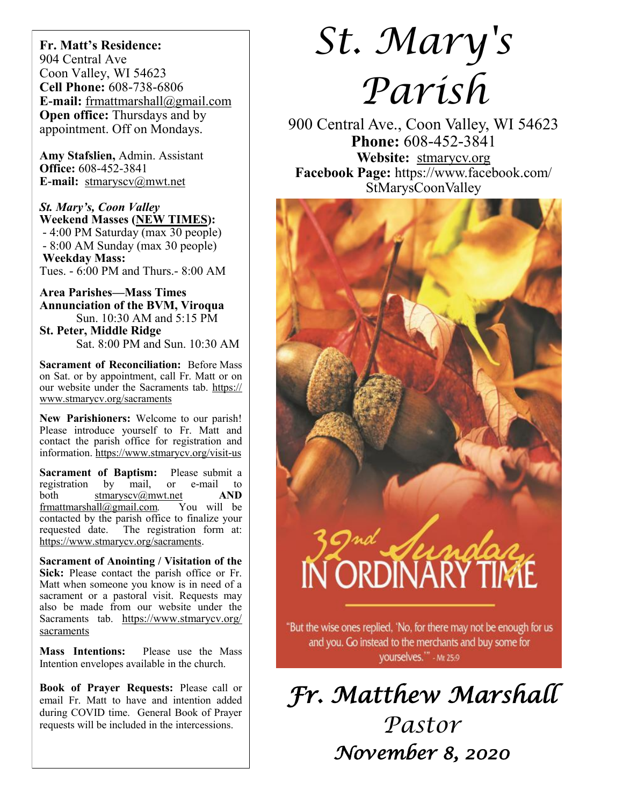**Fr. Matt's Residence:**  904 Central Ave Coon Valley, WI 54623 **Cell Phone:** 608-738-6806 **E-mail:** [frmattmarshall@gmail.com](mailto:frmattmarshall@gmail.com) **Open office:** Thursdays and by appointment. Off on Mondays.

**Amy Stafslien,** Admin. Assistant **Office:** 608-452-3841 **E-mail:** [stmaryscv@mwt.net](mailto:stmaryscv@mwt.net)

*St. Mary's, Coon Valley*  **Weekend Masses (NEW TIMES):** - 4:00 PM Saturday (max 30 people) - 8:00 AM Sunday (max 30 people) **Weekday Mass:**  Tues. - 6:00 PM and Thurs.- 8:00 AM

**Area Parishes—Mass Times Annunciation of the BVM, Viroqua** Sun. 10:30 AM and 5:15 PM **St. Peter, Middle Ridge**

Sat. 8:00 PM and Sun. 10:30 AM

**Sacrament of Reconciliation:** Before Mass on Sat. or by appointment, call Fr. Matt or on our website under the Sacraments tab. [https://](https://www.stmarycv.org/sacraments) [www.stmarycv.org/sacraments](https://www.stmarycv.org/sacraments)

**New Parishioners:** Welcome to our parish! Please introduce yourself to Fr. Matt and contact the parish office for registration and information. <https://www.stmarycv.org/visit-us>

**Sacrament of Baptism:** Please submit a registration by mail, or e-mail to registration by mail, or e-mail to both [stmaryscv@mwt.net](mailto:stmaryscv@mwt.net) **AND** [frmattmarshall@gmail.com](mailto:frmattmarshall@gmail.com)*.* You will be contacted by the parish office to finalize your requested date. The registration form at: <https://www.stmarycv.org/sacraments>.

**Sacrament of Anointing / Visitation of the Sick:** Please contact the parish office or Fr. Matt when someone you know is in need of a sacrament or a pastoral visit. Requests may also be made from our website under the Sacraments tab. [https://www.stmarycv.org/](https://www.stmarycv.org/sacraments) [sacraments](https://www.stmarycv.org/sacraments)

**Mass Intentions:** Please use the Mass Intention envelopes available in the church.

**Book of Prayer Requests:** Please call or email Fr. Matt to have and intention added during COVID time. General Book of Prayer requests will be included in the intercessions.

# *St. Mary's Parish*

900 Central Ave., Coon Valley, WI 54623 **Phone:** 608-452-3841 **Website:** <stmarycv.org>

**Facebook Page:** https://www.facebook.com/ StMarysCoonValley



yourselves."" - Mt 25:9

*Fr. Matthew Marshall Pastor November 8, 2020*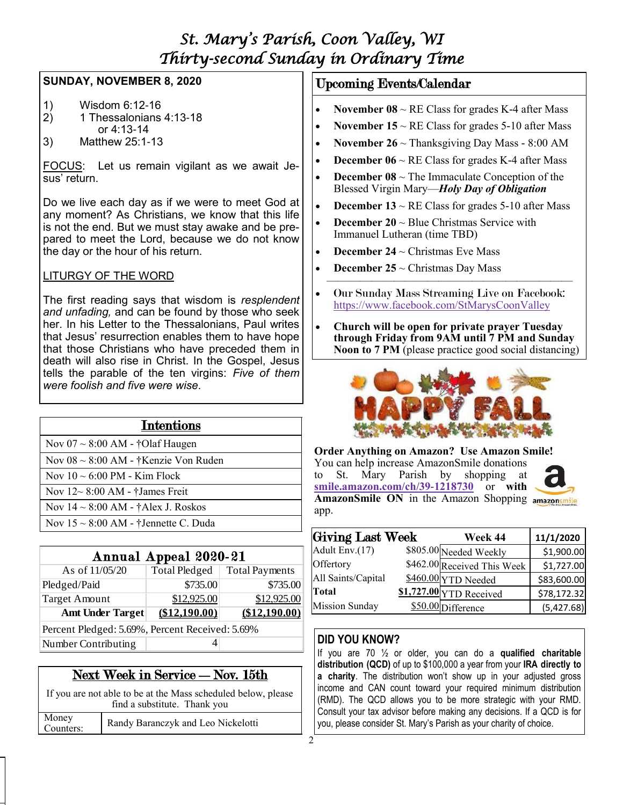# *St. Mary's Parish, Coon Valley, WI Thirty-second Sunday in Ordinary Time*

## **SUNDAY, NOVEMBER 8, 2020**

- 1) Wisdom 6:12-16
- 2) 1 Thessalonians 4:13-18 or 4:13-14
- 3) Matthew 25:1-13

FOCUS: Let us remain vigilant as we await Jesus' return.

Do we live each day as if we were to meet God at any moment? As Christians, we know that this life is not the end. But we must stay awake and be prepared to meet the Lord, because we do not know the day or the hour of his return.

## LITURGY OF THE WORD

The first reading says that wisdom is *resplendent and unfading,* and can be found by those who seek her. In his Letter to the Thessalonians, Paul writes that Jesus' resurrection enables them to have hope that those Christians who have preceded them in death will also rise in Christ. In the Gospel, Jesus tells the parable of the ten virgins: *Five of them were foolish and five were wise*.

| <b>Intentions</b>                         |  |  |  |  |
|-------------------------------------------|--|--|--|--|
| Nov $07 \sim 8:00$ AM - †Olaf Haugen      |  |  |  |  |
| Nov $08 \sim 8:00$ AM - †Kenzie Von Ruden |  |  |  |  |
| Nov $10 \sim 6:00$ PM - Kim Flock         |  |  |  |  |
| Nov $12 \sim 8:00$ AM - †James Freit      |  |  |  |  |
| Nov $14 \sim 8:00$ AM - †Alex J. Roskos   |  |  |  |  |
| Nov $15 \sim 8:00$ AM - †Jennette C. Duda |  |  |  |  |
|                                           |  |  |  |  |
| Annual Appeal 2020-21                     |  |  |  |  |

| Annual Appeal 2020-21                           |               |                                |  |  |  |  |
|-------------------------------------------------|---------------|--------------------------------|--|--|--|--|
| As of 11/05/20                                  |               | Total Pledged   Total Payments |  |  |  |  |
| Pledged/Paid                                    | \$735.00      | \$735.00                       |  |  |  |  |
| Target Amount                                   | \$12,925.00   | \$12,925.00                    |  |  |  |  |
| <b>Amt Under Target</b>                         | (\$12,190.00) | (\$12,190.00)                  |  |  |  |  |
| Percent Pledged: 5.69%, Percent Received: 5.69% |               |                                |  |  |  |  |
| Number Contributing                             |               |                                |  |  |  |  |

# Next Week in Service - Nov. 15th

If you are not able to be at the Mass scheduled below, please find a substitute. Thank you Money Counters: Randy Baranczyk and Leo Nickelotti

## Upcoming Events/Calendar

- **November 08**  $\sim$  RE Class for grades K-4 after Mass
- **November 15**  $\sim$  RE Class for grades 5-10 after Mass
- **November 26** ~ Thanksgiving Day Mass 8:00 AM
- **December 06**  $\sim$  RE Class for grades K-4 after Mass
- **December 08**  $\sim$  The Immaculate Conception of the Blessed Virgin Mary—*Holy Day of Obligation*
- **December 13**  $\sim$  RE Class for grades 5-10 after Mass
- **December 20** ~ Blue Christmas Service with Immanuel Lutheran (time TBD)
- **December 24** ~ Christmas Eve Mass
- **December 25** ~ Christmas Day Mass  $\overline{\phantom{a}}$  , and the contract of the contract of the contract of the contract of the contract of the contract of the contract of the contract of the contract of the contract of the contract of the contract of the contrac
- Our Sunday Mass Streaming Live on Facebook: <https://www.facebook.com/StMarysCoonValley>
- **Church will be open for private prayer Tuesday through Friday from 9AM until 7 PM and Sunday Noon to 7 PM** (please practice good social distancing)



**Order Anything on Amazon? Use Amazon Smile!**

| You can help increase AmazonSmile donations |  |                                        |  |  |  |  |  |                                                   |
|---------------------------------------------|--|----------------------------------------|--|--|--|--|--|---------------------------------------------------|
|                                             |  | to St. Mary Parish by shopping at      |  |  |  |  |  | a                                                 |
|                                             |  | smile.amazon.com/ch/39-1218730 or with |  |  |  |  |  |                                                   |
|                                             |  |                                        |  |  |  |  |  | AmazonSmile ON in the Amazon Shopping amazonsmile |
| app.                                        |  |                                        |  |  |  |  |  |                                                   |

| Giving Last Week      | Week 44                     | 11/1/2020   |
|-----------------------|-----------------------------|-------------|
| Adult Env.(17)        | \$805.00 Needed Weekly      | \$1,900.00  |
| Offertory             | \$462.00 Received This Week | \$1,727.00  |
| All Saints/Capital    | \$460.00 YTD Needed         | \$83,600.00 |
| <b>Total</b>          | $$1,727.00$ YTD Received    | \$78,172.32 |
| <b>Mission Sunday</b> | \$50.00 Difference          | (5,427.68)  |

# **DID YOU KNOW?**

If you are 70 ½ or older, you can do a **qualified charitable distribution (QCD)** of up to \$100,000 a year from your **IRA directly to a charity**. The distribution won't show up in your adjusted gross income and CAN count toward your required minimum distribution (RMD). The QCD allows you to be more strategic with your RMD. Consult your tax advisor before making any decisions. If a QCD is for you, please consider St. Mary's Parish as your charity of choice.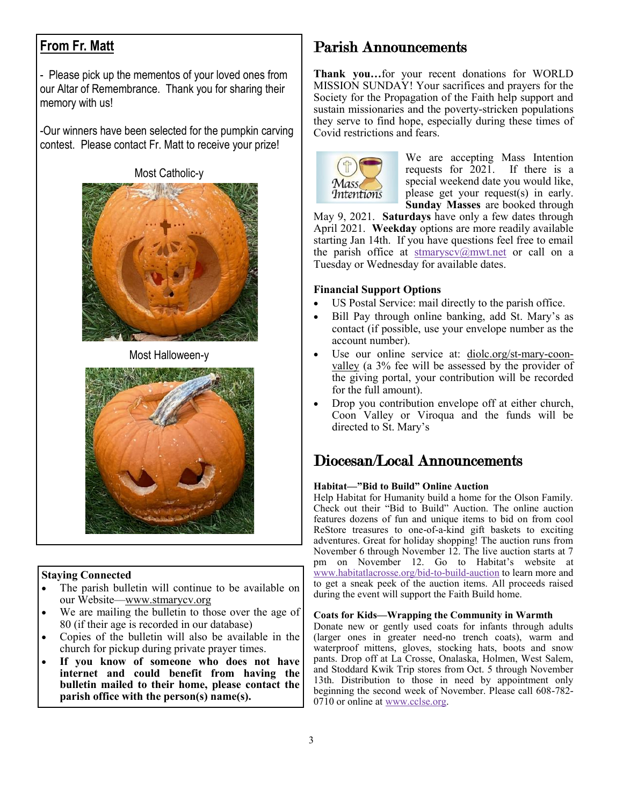# **From Fr. Matt**

- Please pick up the mementos of your loved ones from our Altar of Remembrance. Thank you for sharing their memory with us!

-Our winners have been selected for the pumpkin carving contest. Please contact Fr. Matt to receive your prize!

Most Catholic-y



Most Halloween-y



## **Staying Connected**

- The parish bulletin will continue to be available on our Website—www.stmarycv.org
- We are mailing the bulletin to those over the age of 80 (if their age is recorded in our database)
- Copies of the bulletin will also be available in the church for pickup during private prayer times.
- **If you know of someone who does not have internet and could benefit from having the bulletin mailed to their home, please contact the parish office with the person(s) name(s).**

# Parish Announcements

**Thank you…**for your recent donations for WORLD MISSION SUNDAY! Your sacrifices and prayers for the Society for the Propagation of the Faith help support and sustain missionaries and the poverty-stricken populations they serve to find hope, especially during these times of Covid restrictions and fears.



We are accepting Mass Intention requests for 2021. If there is a special weekend date you would like, please get your request(s) in early. **Sunday Masses** are booked through

May 9, 2021. **Saturdays** have only a few dates through April 2021. **Weekday** options are more readily available starting Jan 14th. If you have questions feel free to email the parish office at stmaryscv $@$ mwt.net or call on a Tuesday or Wednesday for available dates.

#### **Financial Support Options**

- US Postal Service: mail directly to the parish office.
- Bill Pay through online banking, add St. Mary's as contact (if possible, use your envelope number as the account number).
- Use our online service at: [diolc.org/st-mary-coon](http://www.diolc.org/st-mary-coon-valley)[valley](http://www.diolc.org/st-mary-coon-valley) (a 3% fee will be assessed by the provider of the giving portal, your contribution will be recorded for the full amount).
- Drop you contribution envelope off at either church, Coon Valley or Viroqua and the funds will be directed to St. Mary's

# Diocesan/Local Announcements

#### **Habitat—"Bid to Build" Online Auction**

Help Habitat for Humanity build a home for the Olson Family. Check out their "Bid to Build" Auction. The online auction features dozens of fun and unique items to bid on from cool ReStore treasures to one-of-a-kind gift baskets to exciting adventures. Great for holiday shopping! The auction runs from November 6 through November 12. The live auction starts at 7 pm on November 12. Go to Habitat's website at [www.habitatlacrosse.org/bid-to-build-auction](http://www.habitatlacrosse.org/bid-to-build-auction) to learn more and to get a sneak peek of the auction items. All proceeds raised during the event will support the Faith Build home.

#### **Coats for Kids—Wrapping the Community in Warmth**

Donate new or gently used coats for infants through adults (larger ones in greater need-no trench coats), warm and waterproof mittens, gloves, stocking hats, boots and snow pants. Drop off at La Crosse, Onalaska, Holmen, West Salem, and Stoddard Kwik Trip stores from Oct. 5 through November 13th. Distribution to those in need by appointment only beginning the second week of November. Please call 608-782- 0710 or online at [www.cclse.org.](https://cclse.org/)